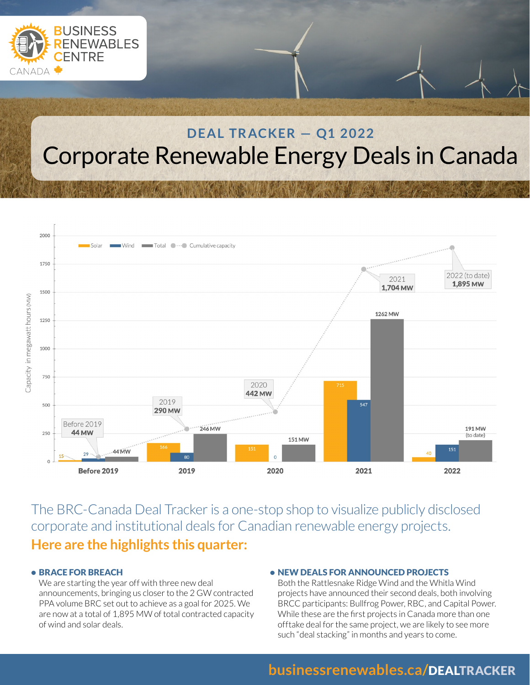

# **DEAL TRACKER - Q1 2022** Corporate Renewable Energy Deals in Canada



The BRC-Canada Deal Tracker is a one-stop shop to visualize publicly disclosed corporate and institutional deals for Canadian renewable energy projects. **Here are the highlights this quarter:** 

#### • BRACE FOR BREACH

We are starting the year off with three new deal announcements, bringing us closer to the 2 GW contracted PPA volume BRC set out to achieve as a goal for 2025. We are now at a total of 1,895 MW of total contracted capacity of wind and solar deals.

#### • NEW DEALS FOR ANNOUNCED PROJECTS

Both the Rattlesnake Ridge Wind and the Whitla Wind projects have announced their second deals, both involving BRCC participants: Bullfrog Power, RBC, and Capital Power. While these are the first projects in Canada more than one offtake deal for the same project, we are likely to see more such "deal stacking" in months and years to come.

## **businessrenewables.ca/**DEALTRACKER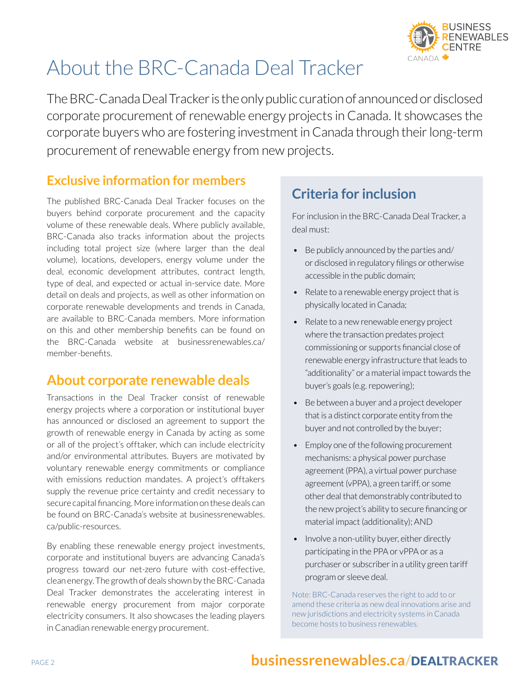

# About the BRC-Canada Deal Tracker

The BRC-Canada Deal Tracker is the only public curation of announced or disclosed corporate procurement of renewable energy projects in Canada. It showcases the corporate buyers who are fostering investment in Canada through their long-term procurement of renewable energy from new projects.

## **Exclusive information for members**

The published BRC-Canada Deal Tracker focuses on the buyers behind corporate procurement and the capacity volume of these renewable deals. Where publicly available, BRC-Canada also tracks information about the projects including total project size (where larger than the deal volume), locations, developers, energy volume under the deal, economic development attributes, contract length, type of deal, and expected or actual in-service date. More detail on deals and projects, as well as other information on corporate renewable developments and trends in Canada, are available to BRC-Canada members. More information on this and other membership benefits can be found on the BRC-Canada website at businessrenewables.ca/ member-benefits.

## **About corporate renewable deals**

Transactions in the Deal Tracker consist of renewable energy projects where a corporation or institutional buyer has announced or disclosed an agreement to support the growth of renewable energy in Canada by acting as some or all of the project's offtaker, which can include electricity and/or environmental attributes. Buyers are motivated by voluntary renewable energy commitments or compliance with emissions reduction mandates. A project's offtakers supply the revenue price certainty and credit necessary to secure capital financing. More information on these deals can be found on BRC-Canada's website at businessrenewables. ca/public-resources.

By enabling these renewable energy project investments, corporate and institutional buyers are advancing Canada's progress toward our net-zero future with cost-effective, clean energy. The growth of deals shown by the BRC-Canada Deal Tracker demonstrates the accelerating interest in renewable energy procurement from major corporate electricity consumers. It also showcases the leading players in Canadian renewable energy procurement.

# **Criteria for inclusion**

For inclusion in the BRC-Canada Deal Tracker, a deal must:

- Be publicly announced by the parties and/ or disclosed in regulatory filings or otherwise accessible in the public domain;
- Relate to a renewable energy project that is physically located in Canada;
- Relate to a new renewable energy project where the transaction predates project commissioning or supports financial close of renewable energy infrastructure that leads to "additionality" or a material impact towards the buyer's goals (e.g. repowering);
- Be between a buyer and a project developer that is a distinct corporate entity from the buyer and not controlled by the buyer;
- Employ one of the following procurement mechanisms: a physical power purchase agreement (PPA), a virtual power purchase agreement (vPPA), a green tariff, or some other deal that demonstrably contributed to the new project's ability to secure financing or material impact (additionality); AND
- Involve a non-utility buyer, either directly participating in the PPA or vPPA or as a purchaser or subscriber in a utility green tariff program or sleeve deal.

Note: BRC-Canada reserves the right to add to or amend these criteria as new deal innovations arise and new jurisdictions and electricity systems in Canada become hosts to business renewables.

# PAGE 2 **businessrenewables.ca/**DEALTRACKER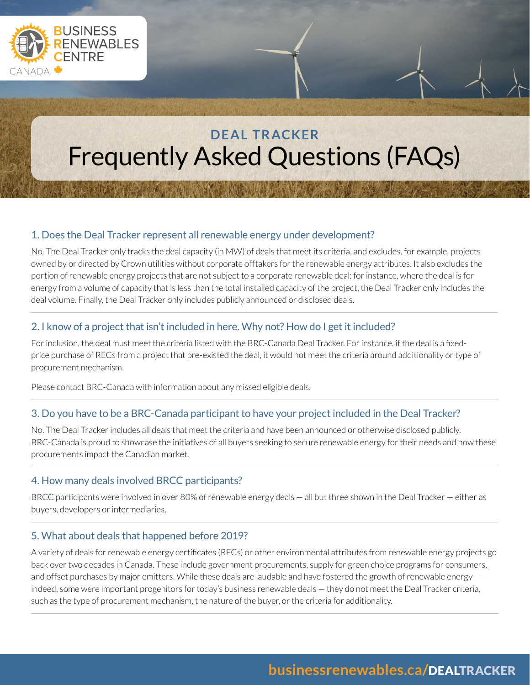

# **D E AL TR ACKER**  Frequently Asked Questions (FAQs)

### 1. Does the Deal Tracker represent all renewable energy under development?

No. The Deal Tracker only tracks the deal capacity (in MW) of deals that meet its criteria, and excludes, for example, projects owned by or directed by Crown utilities without corporate offtakers for the renewable energy attributes. It also excludes the portion of renewable energy projects that are not subject to a corporate renewable deal: for instance, where the deal is for energy from a volume of capacity that is less than the total installed capacity of the project, the Deal Tracker only includes the deal volume. Finally, the Deal Tracker only includes publicly announced or disclosed deals.

#### 2. I know of a project that isn't included in here. Why not? How do I get it included?

For inclusion, the deal must meet the criteria listed with the BRC-Canada Deal Tracker. For instance, if the deal is a fixedprice purchase of RECs from a project that pre-existed the deal, it would not meet the criteria around additionality or type of procurement mechanism.

Please contact BRC-Canada with information about any missed eligible deals.

## 3. Do you have to be a BRC-Canada participant to have your project included in the Deal Tracker?

No. The Deal Tracker includes all deals that meet the criteria and have been announced or otherwise disclosed publicly. BRC-Canada is proud to showcase the initiatives of all buyers seeking to secure renewable energy for their needs and how these procurements impact the Canadian market.

## 4. How many deals involved BRCC participants?

BRCC participants were involved in over 80% of renewable energy deals — all but three shown in the Deal Tracker — either as buyers, developers or intermediaries.

### 5. What about deals that happened before 2019?

A variety of deals for renewable energy certificates (RECs) or other environmental attributes from renewable energy projects go back over two decades in Canada. These include government procurements, supply for green choice programs for consumers, and offset purchases by major emitters. While these deals are laudable and have fostered the growth of renewable energy indeed, some were important progenitors for today's business renewable deals — they do not meet the Deal Tracker criteria, such as the type of procurement mechanism, the nature of the buyer, or the criteria for additionality.